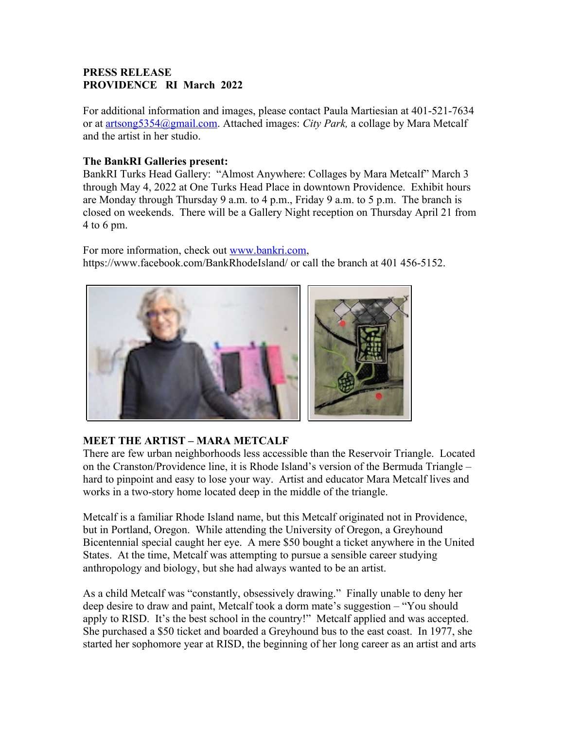## **PRESS RELEASE PROVIDENCE RI March 2022**

For additional information and images, please contact Paula Martiesian at 401-521-7634 or at artsong5354@gmail.com. Attached images: *City Park,* a collage by Mara Metcalf and the artist in her studio.

## **The BankRI Galleries present:**

BankRI Turks Head Gallery: "Almost Anywhere: Collages by Mara Metcalf" March 3 through May 4, 2022 at One Turks Head Place in downtown Providence. Exhibit hours are Monday through Thursday 9 a.m. to 4 p.m., Friday 9 a.m. to 5 p.m. The branch is closed on weekends. There will be a Gallery Night reception on Thursday April 21 from 4 to 6 pm.

For more information, check out [www.bankri.com,](http://www.bankri.com/) https://www.facebook.com/BankRhodeIsland/ or call the branch at 401 456-5152.



## **MEET THE ARTIST – MARA METCALF**

There are few urban neighborhoods less accessible than the Reservoir Triangle. Located on the Cranston/Providence line, it is Rhode Island's version of the Bermuda Triangle – hard to pinpoint and easy to lose your way. Artist and educator Mara Metcalf lives and works in a two-story home located deep in the middle of the triangle.

Metcalf is a familiar Rhode Island name, but this Metcalf originated not in Providence, but in Portland, Oregon. While attending the University of Oregon, a Greyhound Bicentennial special caught her eye. A mere \$50 bought a ticket anywhere in the United States. At the time, Metcalf was attempting to pursue a sensible career studying anthropology and biology, but she had always wanted to be an artist.

As a child Metcalf was "constantly, obsessively drawing." Finally unable to deny her deep desire to draw and paint, Metcalf took a dorm mate's suggestion – "You should apply to RISD. It's the best school in the country!" Metcalf applied and was accepted. She purchased a \$50 ticket and boarded a Greyhound bus to the east coast. In 1977, she started her sophomore year at RISD, the beginning of her long career as an artist and arts